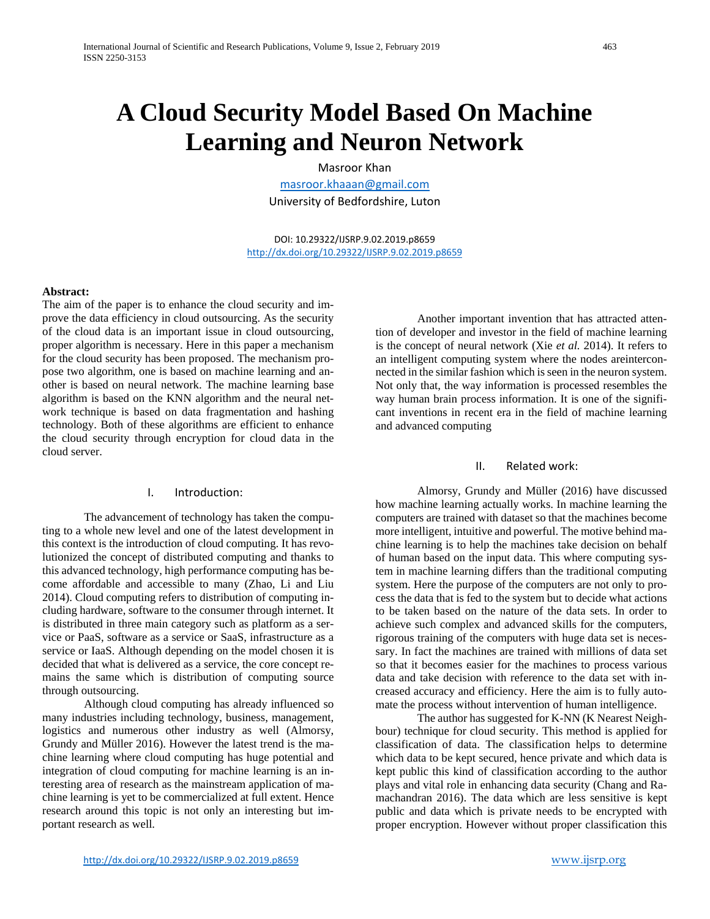# **A Cloud Security Model Based On Machine Learning and Neuron Network**

Masroor Khan

[masroor.khaaan@gmail.com](mailto:masroor.khaaan@gmail.com) University of Bedfordshire, Luton

DOI: 10.29322/IJSRP.9.02.2019.p8659 <http://dx.doi.org/10.29322/IJSRP.9.02.2019.p8659>

#### **Abstract:**

The aim of the paper is to enhance the cloud security and improve the data efficiency in cloud outsourcing. As the security of the cloud data is an important issue in cloud outsourcing, proper algorithm is necessary. Here in this paper a mechanism for the cloud security has been proposed. The mechanism propose two algorithm, one is based on machine learning and another is based on neural network. The machine learning base algorithm is based on the KNN algorithm and the neural network technique is based on data fragmentation and hashing technology. Both of these algorithms are efficient to enhance the cloud security through encryption for cloud data in the cloud server.

### I. Introduction:

The advancement of technology has taken the computing to a whole new level and one of the latest development in this context is the introduction of cloud computing. It has revolutionized the concept of distributed computing and thanks to this advanced technology, high performance computing has become affordable and accessible to many (Zhao, Li and Liu 2014). Cloud computing refers to distribution of computing including hardware, software to the consumer through internet. It is distributed in three main category such as platform as a service or PaaS, software as a service or SaaS, infrastructure as a service or IaaS. Although depending on the model chosen it is decided that what is delivered as a service, the core concept remains the same which is distribution of computing source through outsourcing.

Although cloud computing has already influenced so many industries including technology, business, management, logistics and numerous other industry as well (Almorsy, Grundy and Müller 2016). However the latest trend is the machine learning where cloud computing has huge potential and integration of cloud computing for machine learning is an interesting area of research as the mainstream application of machine learning is yet to be commercialized at full extent. Hence research around this topic is not only an interesting but important research as well.

Another important invention that has attracted attention of developer and investor in the field of machine learning is the concept of neural network (Xie *et al.* 2014). It refers to an intelligent computing system where the nodes areinterconnected in the similar fashion which is seen in the neuron system. Not only that, the way information is processed resembles the way human brain process information. It is one of the significant inventions in recent era in the field of machine learning and advanced computing

#### II. Related work:

Almorsy, Grundy and Müller (2016) have discussed how machine learning actually works. In machine learning the computers are trained with dataset so that the machines become more intelligent, intuitive and powerful. The motive behind machine learning is to help the machines take decision on behalf of human based on the input data. This where computing system in machine learning differs than the traditional computing system. Here the purpose of the computers are not only to process the data that is fed to the system but to decide what actions to be taken based on the nature of the data sets. In order to achieve such complex and advanced skills for the computers, rigorous training of the computers with huge data set is necessary. In fact the machines are trained with millions of data set so that it becomes easier for the machines to process various data and take decision with reference to the data set with increased accuracy and efficiency. Here the aim is to fully automate the process without intervention of human intelligence.

The author has suggested for K-NN (K Nearest Neighbour) technique for cloud security. This method is applied for classification of data. The classification helps to determine which data to be kept secured, hence private and which data is kept public this kind of classification according to the author plays and vital role in enhancing data security (Chang and Ramachandran 2016). The data which are less sensitive is kept public and data which is private needs to be encrypted with proper encryption. However without proper classification this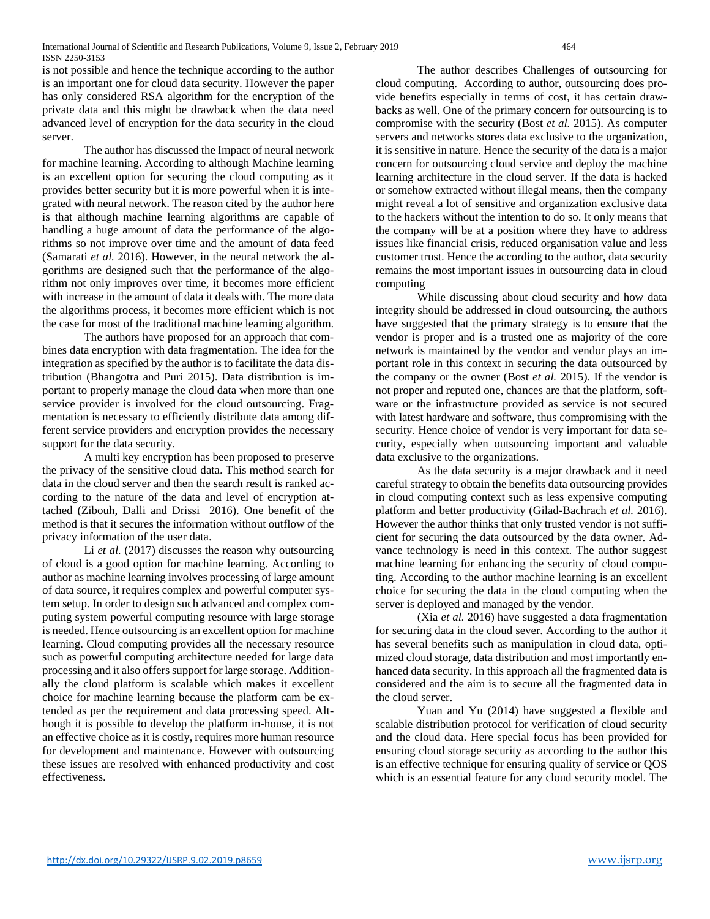International Journal of Scientific and Research Publications, Volume 9, Issue 2, February 2019 464 ISSN 2250-3153

is not possible and hence the technique according to the author is an important one for cloud data security. However the paper has only considered RSA algorithm for the encryption of the private data and this might be drawback when the data need advanced level of encryption for the data security in the cloud server.

The author has discussed the Impact of neural network for machine learning. According to although Machine learning is an excellent option for securing the cloud computing as it provides better security but it is more powerful when it is integrated with neural network. The reason cited by the author here is that although machine learning algorithms are capable of handling a huge amount of data the performance of the algorithms so not improve over time and the amount of data feed (Samarati *et al.* 2016). However, in the neural network the algorithms are designed such that the performance of the algorithm not only improves over time, it becomes more efficient with increase in the amount of data it deals with. The more data the algorithms process, it becomes more efficient which is not the case for most of the traditional machine learning algorithm.

The authors have proposed for an approach that combines data encryption with data fragmentation. The idea for the integration as specified by the author is to facilitate the data distribution (Bhangotra and Puri 2015). Data distribution is important to properly manage the cloud data when more than one service provider is involved for the cloud outsourcing. Fragmentation is necessary to efficiently distribute data among different service providers and encryption provides the necessary support for the data security.

A multi key encryption has been proposed to preserve the privacy of the sensitive cloud data. This method search for data in the cloud server and then the search result is ranked according to the nature of the data and level of encryption attached (Zibouh, Dalli and Drissi 2016). One benefit of the method is that it secures the information without outflow of the privacy information of the user data.

Li *et al.* (2017) discusses the reason why outsourcing of cloud is a good option for machine learning. According to author as machine learning involves processing of large amount of data source, it requires complex and powerful computer system setup. In order to design such advanced and complex computing system powerful computing resource with large storage is needed. Hence outsourcing is an excellent option for machine learning. Cloud computing provides all the necessary resource such as powerful computing architecture needed for large data processing and it also offers support for large storage. Additionally the cloud platform is scalable which makes it excellent choice for machine learning because the platform cam be extended as per the requirement and data processing speed. Although it is possible to develop the platform in-house, it is not an effective choice as it is costly, requires more human resource for development and maintenance. However with outsourcing these issues are resolved with enhanced productivity and cost effectiveness.

The author describes Challenges of outsourcing for cloud computing. According to author, outsourcing does provide benefits especially in terms of cost, it has certain drawbacks as well. One of the primary concern for outsourcing is to compromise with the security (Bost *et al.* 2015). As computer servers and networks stores data exclusive to the organization, it is sensitive in nature. Hence the security of the data is a major concern for outsourcing cloud service and deploy the machine learning architecture in the cloud server. If the data is hacked or somehow extracted without illegal means, then the company might reveal a lot of sensitive and organization exclusive data to the hackers without the intention to do so. It only means that the company will be at a position where they have to address issues like financial crisis, reduced organisation value and less customer trust. Hence the according to the author, data security remains the most important issues in outsourcing data in cloud computing

While discussing about cloud security and how data integrity should be addressed in cloud outsourcing, the authors have suggested that the primary strategy is to ensure that the vendor is proper and is a trusted one as majority of the core network is maintained by the vendor and vendor plays an important role in this context in securing the data outsourced by the company or the owner (Bost *et al.* 2015). If the vendor is not proper and reputed one, chances are that the platform, software or the infrastructure provided as service is not secured with latest hardware and software, thus compromising with the security. Hence choice of vendor is very important for data security, especially when outsourcing important and valuable data exclusive to the organizations.

As the data security is a major drawback and it need careful strategy to obtain the benefits data outsourcing provides in cloud computing context such as less expensive computing platform and better productivity (Gilad-Bachrach *et al.* 2016). However the author thinks that only trusted vendor is not sufficient for securing the data outsourced by the data owner. Advance technology is need in this context. The author suggest machine learning for enhancing the security of cloud computing. According to the author machine learning is an excellent choice for securing the data in the cloud computing when the server is deployed and managed by the vendor.

(Xia *et al.* 2016) have suggested a data fragmentation for securing data in the cloud sever. According to the author it has several benefits such as manipulation in cloud data, optimized cloud storage, data distribution and most importantly enhanced data security. In this approach all the fragmented data is considered and the aim is to secure all the fragmented data in the cloud server.

Yuan and Yu (2014) have suggested a flexible and scalable distribution protocol for verification of cloud security and the cloud data. Here special focus has been provided for ensuring cloud storage security as according to the author this is an effective technique for ensuring quality of service or QOS which is an essential feature for any cloud security model. The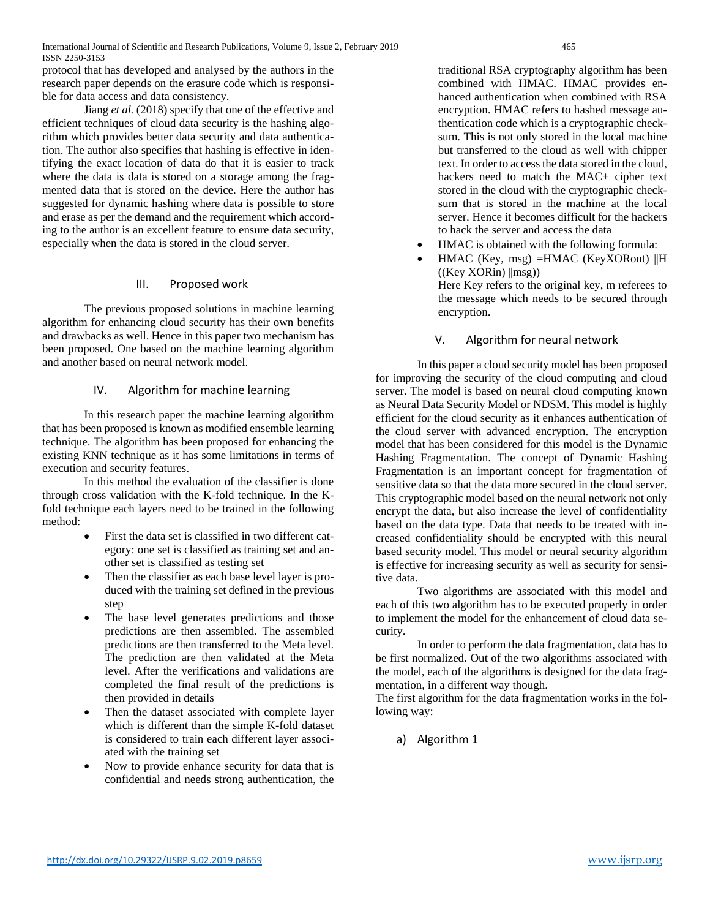International Journal of Scientific and Research Publications, Volume 9, Issue 2, February 2019 465 ISSN 2250-3153

protocol that has developed and analysed by the authors in the research paper depends on the erasure code which is responsible for data access and data consistency.

Jiang *et al.* (2018) specify that one of the effective and efficient techniques of cloud data security is the hashing algorithm which provides better data security and data authentication. The author also specifies that hashing is effective in identifying the exact location of data do that it is easier to track where the data is data is stored on a storage among the fragmented data that is stored on the device. Here the author has suggested for dynamic hashing where data is possible to store and erase as per the demand and the requirement which according to the author is an excellent feature to ensure data security, especially when the data is stored in the cloud server.

### III. Proposed work

The previous proposed solutions in machine learning algorithm for enhancing cloud security has their own benefits and drawbacks as well. Hence in this paper two mechanism has been proposed. One based on the machine learning algorithm and another based on neural network model.

### IV. Algorithm for machine learning

In this research paper the machine learning algorithm that has been proposed is known as modified ensemble learning technique. The algorithm has been proposed for enhancing the existing KNN technique as it has some limitations in terms of execution and security features.

In this method the evaluation of the classifier is done through cross validation with the K-fold technique. In the Kfold technique each layers need to be trained in the following method:

- First the data set is classified in two different category: one set is classified as training set and another set is classified as testing set
- Then the classifier as each base level layer is produced with the training set defined in the previous step
- The base level generates predictions and those predictions are then assembled. The assembled predictions are then transferred to the Meta level. The prediction are then validated at the Meta level. After the verifications and validations are completed the final result of the predictions is then provided in details
- Then the dataset associated with complete layer which is different than the simple K-fold dataset is considered to train each different layer associated with the training set
- Now to provide enhance security for data that is confidential and needs strong authentication, the

traditional RSA cryptography algorithm has been combined with HMAC. HMAC provides enhanced authentication when combined with RSA encryption. HMAC refers to hashed message authentication code which is a cryptographic checksum. This is not only stored in the local machine but transferred to the cloud as well with chipper text. In order to access the data stored in the cloud, hackers need to match the MAC+ cipher text stored in the cloud with the cryptographic checksum that is stored in the machine at the local server. Hence it becomes difficult for the hackers to hack the server and access the data

- HMAC is obtained with the following formula:
- HMAC (Key, msg) =HMAC (KeyXORout) ||H  $((Key XORin) || msg))$ Here Key refers to the original key, m referees to the message which needs to be secured through encryption.

### V. Algorithm for neural network

In this paper a cloud security model has been proposed for improving the security of the cloud computing and cloud server. The model is based on neural cloud computing known as Neural Data Security Model or NDSM. This model is highly efficient for the cloud security as it enhances authentication of the cloud server with advanced encryption. The encryption model that has been considered for this model is the Dynamic Hashing Fragmentation. The concept of Dynamic Hashing Fragmentation is an important concept for fragmentation of sensitive data so that the data more secured in the cloud server. This cryptographic model based on the neural network not only encrypt the data, but also increase the level of confidentiality based on the data type. Data that needs to be treated with increased confidentiality should be encrypted with this neural based security model. This model or neural security algorithm is effective for increasing security as well as security for sensitive data.

Two algorithms are associated with this model and each of this two algorithm has to be executed properly in order to implement the model for the enhancement of cloud data security.

In order to perform the data fragmentation, data has to be first normalized. Out of the two algorithms associated with the model, each of the algorithms is designed for the data fragmentation, in a different way though.

The first algorithm for the data fragmentation works in the following way:

a) Algorithm 1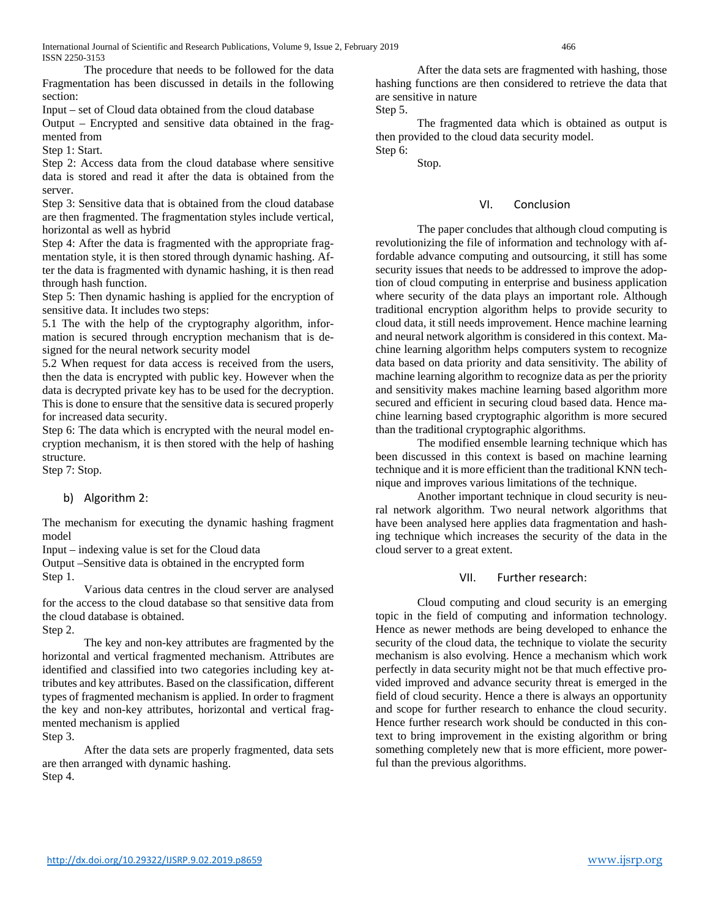International Journal of Scientific and Research Publications, Volume 9, Issue 2, February 2019 466 ISSN 2250-3153

The procedure that needs to be followed for the data Fragmentation has been discussed in details in the following section:

Input – set of Cloud data obtained from the cloud database

Output – Encrypted and sensitive data obtained in the fragmented from

Step 1: Start.

Step 2: Access data from the cloud database where sensitive data is stored and read it after the data is obtained from the server.

Step 3: Sensitive data that is obtained from the cloud database are then fragmented. The fragmentation styles include vertical, horizontal as well as hybrid

Step 4: After the data is fragmented with the appropriate fragmentation style, it is then stored through dynamic hashing. After the data is fragmented with dynamic hashing, it is then read through hash function.

Step 5: Then dynamic hashing is applied for the encryption of sensitive data. It includes two steps:

5.1 The with the help of the cryptography algorithm, information is secured through encryption mechanism that is designed for the neural network security model

5.2 When request for data access is received from the users, then the data is encrypted with public key. However when the data is decrypted private key has to be used for the decryption. This is done to ensure that the sensitive data is secured properly for increased data security.

Step 6: The data which is encrypted with the neural model encryption mechanism, it is then stored with the help of hashing structure.

Step 7: Stop.

## b) Algorithm 2:

The mechanism for executing the dynamic hashing fragment model

Input – indexing value is set for the Cloud data

Output –Sensitive data is obtained in the encrypted form Step 1.

Various data centres in the cloud server are analysed for the access to the cloud database so that sensitive data from the cloud database is obtained.

Step 2.

The key and non-key attributes are fragmented by the horizontal and vertical fragmented mechanism. Attributes are identified and classified into two categories including key attributes and key attributes. Based on the classification, different types of fragmented mechanism is applied. In order to fragment the key and non-key attributes, horizontal and vertical fragmented mechanism is applied

Step 3.

After the data sets are properly fragmented, data sets are then arranged with dynamic hashing. Step 4.

After the data sets are fragmented with hashing, those hashing functions are then considered to retrieve the data that are sensitive in nature

Step 5.

The fragmented data which is obtained as output is then provided to the cloud data security model.

Step 6: Stop.

VI. Conclusion

The paper concludes that although cloud computing is revolutionizing the file of information and technology with affordable advance computing and outsourcing, it still has some security issues that needs to be addressed to improve the adoption of cloud computing in enterprise and business application where security of the data plays an important role. Although traditional encryption algorithm helps to provide security to cloud data, it still needs improvement. Hence machine learning and neural network algorithm is considered in this context. Machine learning algorithm helps computers system to recognize data based on data priority and data sensitivity. The ability of machine learning algorithm to recognize data as per the priority and sensitivity makes machine learning based algorithm more secured and efficient in securing cloud based data. Hence machine learning based cryptographic algorithm is more secured than the traditional cryptographic algorithms.

The modified ensemble learning technique which has been discussed in this context is based on machine learning technique and it is more efficient than the traditional KNN technique and improves various limitations of the technique.

Another important technique in cloud security is neural network algorithm. Two neural network algorithms that have been analysed here applies data fragmentation and hashing technique which increases the security of the data in the cloud server to a great extent.

#### VII. Further research:

Cloud computing and cloud security is an emerging topic in the field of computing and information technology. Hence as newer methods are being developed to enhance the security of the cloud data, the technique to violate the security mechanism is also evolving. Hence a mechanism which work perfectly in data security might not be that much effective provided improved and advance security threat is emerged in the field of cloud security. Hence a there is always an opportunity and scope for further research to enhance the cloud security. Hence further research work should be conducted in this context to bring improvement in the existing algorithm or bring something completely new that is more efficient, more powerful than the previous algorithms.